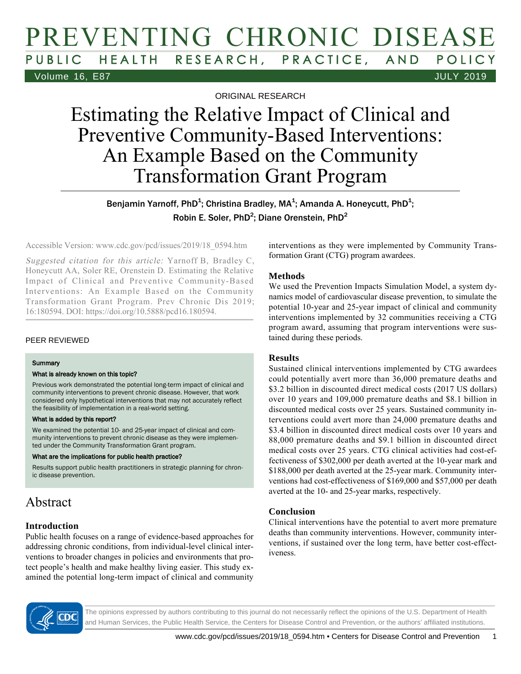# PREVENTING CHRONIC DISEASE PUBLIC HEALTH RESEARCH, PRACTICE, AND POLICY Volume 16, E87 JULY 2019

ORIGINAL RESEARCH

# Estimating the Relative Impact of Clinical and Preventive Community-Based Interventions: An Example Based on the Community Transformation Grant Program

Benjamin Yarnoff, PhD $^1$ ; Christina Bradley, MA $^1$ ; Amanda A. Honeycutt, PhD $^1$ ; Robin E. Soler, PhD<sup>2</sup>; Diane Orenstein, PhD<sup>2</sup>

Accessible Version: www.cdc.gov/pcd/issues/2019/18\_0594.htm

Suggested citation for this article: Yarnoff B, Bradley C, Honeycutt AA, Soler RE, Orenstein D. Estimating the Relative Impact of Clinical and Preventive Community-Based Interventions: An Example Based on the Community Transformation Grant Program. Prev Chronic Dis 2019; 16:180594. DOI: https://doi.org/10.5888/pcd16.180594.

#### PEER REVIEWED

#### **Summary**

#### What is already known on this topic?

Previous work demonstrated the potential long-term impact of clinical and community interventions to prevent chronic disease. However, that work considered only hypothetical interventions that may not accurately reflect the feasibility of implementation in a real-world setting.

#### What is added by this report?

We examined the potential 10- and 25-year impact of clinical and community interventions to prevent chronic disease as they were implemented under the Community Transformation Grant program.

#### What are the implications for public health practice?

Results support public health practitioners in strategic planning for chronic disease prevention.

### Abstract

### **Introduction**

Public health focuses on a range of evidence-based approaches for addressing chronic conditions, from individual-level clinical interventions to broader changes in policies and environments that protect people's health and make healthy living easier. This study examined the potential long-term impact of clinical and community

interventions as they were implemented by Community Transformation Grant (CTG) program awardees.

### **Methods**

We used the Prevention Impacts Simulation Model, a system dynamics model of cardiovascular disease prevention, to simulate the potential 10-year and 25-year impact of clinical and community interventions implemented by 32 communities receiving a CTG program award, assuming that program interventions were sustained during these periods.

### **Results**

Sustained clinical interventions implemented by CTG awardees could potentially avert more than 36,000 premature deaths and \$3.2 billion in discounted direct medical costs (2017 US dollars) over 10 years and 109,000 premature deaths and \$8.1 billion in discounted medical costs over 25 years. Sustained community interventions could avert more than 24,000 premature deaths and \$3.4 billion in discounted direct medical costs over 10 years and 88,000 premature deaths and \$9.1 billion in discounted direct medical costs over 25 years. CTG clinical activities had cost-effectiveness of \$302,000 per death averted at the 10-year mark and \$188,000 per death averted at the 25-year mark. Community interventions had cost-effectiveness of \$169,000 and \$57,000 per death averted at the 10- and 25-year marks, respectively.

### **Conclusion**

Clinical interventions have the potential to avert more premature deaths than community interventions. However, community interventions, if sustained over the long term, have better cost-effectiveness.

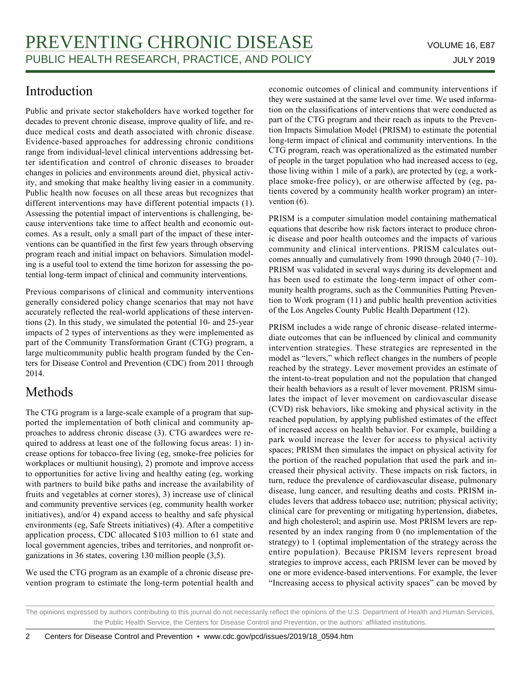# Introduction

Public and private sector stakeholders have worked together for decades to prevent chronic disease, improve quality of life, and reduce medical costs and death associated with chronic disease. Evidence-based approaches for addressing chronic conditions range from individual-level clinical interventions addressing better identification and control of chronic diseases to broader changes in policies and environments around diet, physical activity, and smoking that make healthy living easier in a community. Public health now focuses on all these areas but recognizes that different interventions may have different potential impacts (1). Assessing the potential impact of interventions is challenging, because interventions take time to affect health and economic outcomes. As a result, only a small part of the impact of these interventions can be quantified in the first few years through observing program reach and initial impact on behaviors. Simulation modeling is a useful tool to extend the time horizon for assessing the potential long-term impact of clinical and community interventions.

Previous comparisons of clinical and community interventions generally considered policy change scenarios that may not have accurately reflected the real-world applications of these interventions (2). In this study, we simulated the potential 10- and 25-year impacts of 2 types of interventions as they were implemented as part of the Community Transformation Grant (CTG) program, a large multicommunity public health program funded by the Centers for Disease Control and Prevention (CDC) from 2011 through 2014.

# Methods

The CTG program is a large-scale example of a program that supported the implementation of both clinical and community approaches to address chronic disease (3). CTG awardees were required to address at least one of the following focus areas: 1) increase options for tobacco-free living (eg, smoke-free policies for workplaces or multiunit housing), 2) promote and improve access to opportunities for active living and healthy eating (eg, working with partners to build bike paths and increase the availability of fruits and vegetables at corner stores), 3) increase use of clinical and community preventive services (eg, community health worker initiatives), and/or 4) expand access to healthy and safe physical environments (eg, Safe Streets initiatives) (4). After a competitive application process, CDC allocated \$103 million to 61 state and local government agencies, tribes and territories, and nonprofit organizations in 36 states, covering 130 million people (3,5).

We used the CTG program as an example of a chronic disease prevention program to estimate the long-term potential health and economic outcomes of clinical and community interventions if they were sustained at the same level over time. We used information on the classifications of interventions that were conducted as part of the CTG program and their reach as inputs to the Prevention Impacts Simulation Model (PRISM) to estimate the potential long-term impact of clinical and community interventions. In the CTG program, reach was operationalized as the estimated number of people in the target population who had increased access to (eg, those living within 1 mile of a park), are protected by (eg, a workplace smoke-free policy), or are otherwise affected by (eg, patients covered by a community health worker program) an intervention (6).

PRISM is a computer simulation model containing mathematical equations that describe how risk factors interact to produce chronic disease and poor health outcomes and the impacts of various community and clinical interventions. PRISM calculates outcomes annually and cumulatively from 1990 through 2040 (7–10). PRISM was validated in several ways during its development and has been used to estimate the long-term impact of other community health programs, such as the Communities Putting Prevention to Work program (11) and public health prevention activities of the Los Angeles County Public Health Department (12).

PRISM includes a wide range of chronic disease–related intermediate outcomes that can be influenced by clinical and community intervention strategies. These strategies are represented in the model as "levers," which reflect changes in the numbers of people reached by the strategy. Lever movement provides an estimate of the intent-to-treat population and not the population that changed their health behaviors as a result of lever movement. PRISM simulates the impact of lever movement on cardiovascular disease (CVD) risk behaviors, like smoking and physical activity in the reached population, by applying published estimates of the effect of increased access on health behavior. For example, building a park would increase the lever for access to physical activity spaces; PRISM then simulates the impact on physical activity for the portion of the reached population that used the park and increased their physical activity. These impacts on risk factors, in turn, reduce the prevalence of cardiovascular disease, pulmonary disease, lung cancer, and resulting deaths and costs. PRISM includes levers that address tobacco use; nutrition; physical activity; clinical care for preventing or mitigating hypertension, diabetes, and high cholesterol; and aspirin use. Most PRISM levers are represented by an index ranging from 0 (no implementation of the strategy) to 1 (optimal implementation of the strategy across the entire population). Because PRISM levers represent broad strategies to improve access, each PRISM lever can be moved by one or more evidence-based interventions. For example, the lever "Increasing access to physical activity spaces" can be moved by

The opinions expressed by authors contributing to this journal do not necessarily reflect the opinions of the U.S. Department of Health and Human Services, the Public Health Service, the Centers for Disease Control and Prevention, or the authors' affiliated institutions.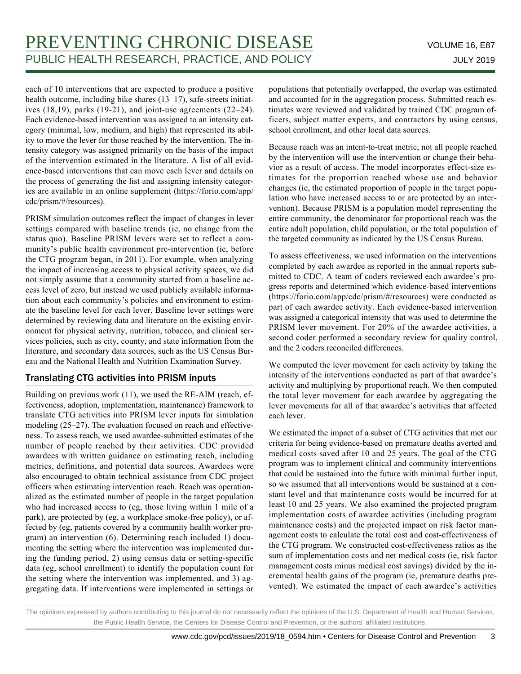each of 10 interventions that are expected to produce a positive health outcome, including bike shares (13-17), safe-streets initiatives (18,19), parks (19-21), and joint-use agreements (22–24). Each evidence-based intervention was assigned to an intensity category (minimal, low, medium, and high) that represented its ability to move the lever for those reached by the intervention. The intensity category was assigned primarily on the basis of the impact of the intervention estimated in the literature. A list of all evidence-based interventions that can move each lever and details on the process of generating the list and assigning intensity categories are available in an online supplement (https://forio.com/app/ cdc/prism/#/resources).

PRISM simulation outcomes reflect the impact of changes in lever settings compared with baseline trends (ie, no change from the status quo). Baseline PRISM levers were set to reflect a community's public health environment pre-intervention (ie, before the CTG program began, in 2011). For example, when analyzing the impact of increasing access to physical activity spaces, we did not simply assume that a community started from a baseline access level of zero, but instead we used publicly available information about each community's policies and environment to estimate the baseline level for each lever. Baseline lever settings were determined by reviewing data and literature on the existing environment for physical activity, nutrition, tobacco, and clinical services policies, such as city, county, and state information from the literature, and secondary data sources, such as the US Census Bureau and the National Health and Nutrition Examination Survey.

### Translating CTG activities into PRISM inputs

Building on previous work (11), we used the RE-AIM (reach, effectiveness, adoption, implementation, maintenance) framework to translate CTG activities into PRISM lever inputs for simulation modeling (25–27). The evaluation focused on reach and effectiveness. To assess reach, we used awardee-submitted estimates of the number of people reached by their activities. CDC provided awardees with written guidance on estimating reach, including metrics, definitions, and potential data sources. Awardees were also encouraged to obtain technical assistance from CDC project officers when estimating intervention reach. Reach was operationalized as the estimated number of people in the target population who had increased access to (eg, those living within 1 mile of a park), are protected by (eg, a workplace smoke-free policy), or affected by (eg, patients covered by a community health worker program) an intervention (6). Determining reach included 1) documenting the setting where the intervention was implemented during the funding period, 2) using census data or setting-specific data (eg, school enrollment) to identify the population count for the setting where the intervention was implemented, and 3) aggregating data. If interventions were implemented in settings or populations that potentially overlapped, the overlap was estimated and accounted for in the aggregation process. Submitted reach estimates were reviewed and validated by trained CDC program officers, subject matter experts, and contractors by using census, school enrollment, and other local data sources.

Because reach was an intent-to-treat metric, not all people reached by the intervention will use the intervention or change their behavior as a result of access. The model incorporates effect-size estimates for the proportion reached whose use and behavior changes (ie, the estimated proportion of people in the target population who have increased access to or are protected by an intervention). Because PRISM is a population model representing the entire community, the denominator for proportional reach was the entire adult population, child population, or the total population of the targeted community as indicated by the US Census Bureau.

To assess effectiveness, we used information on the interventions completed by each awardee as reported in the annual reports submitted to CDC. A team of coders reviewed each awardee's progress reports and determined which evidence-based interventions (https://forio.com/app/cdc/prism/#/resources) were conducted as part of each awardee activity. Each evidence-based intervention was assigned a categorical intensity that was used to determine the PRISM lever movement. For 20% of the awardee activities, a second coder performed a secondary review for quality control, and the 2 coders reconciled differences.

We computed the lever movement for each activity by taking the intensity of the interventions conducted as part of that awardee's activity and multiplying by proportional reach. We then computed the total lever movement for each awardee by aggregating the lever movements for all of that awardee's activities that affected each lever.

We estimated the impact of a subset of CTG activities that met our criteria for being evidence-based on premature deaths averted and medical costs saved after 10 and 25 years. The goal of the CTG program was to implement clinical and community interventions that could be sustained into the future with minimal further input, so we assumed that all interventions would be sustained at a constant level and that maintenance costs would be incurred for at least 10 and 25 years. We also examined the projected program implementation costs of awardee activities (including program maintenance costs) and the projected impact on risk factor management costs to calculate the total cost and cost-effectiveness of the CTG program. We constructed cost-effectiveness ratios as the sum of implementation costs and net medical costs (ie, risk factor management costs minus medical cost savings) divided by the incremental health gains of the program (ie, premature deaths prevented). We estimated the impact of each awardee's activities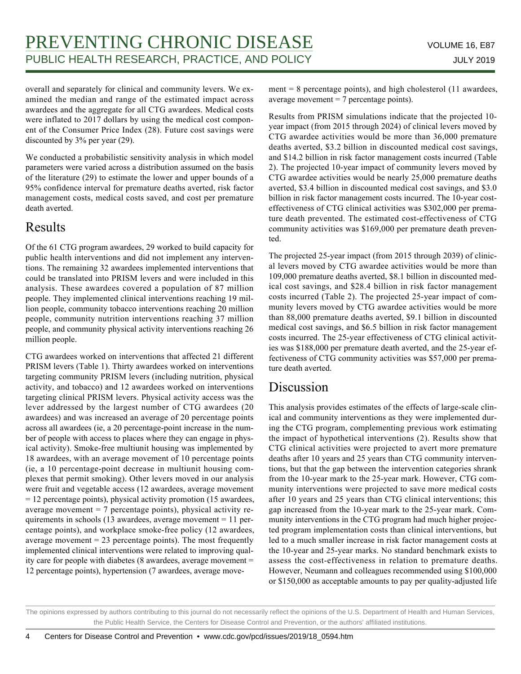overall and separately for clinical and community levers. We examined the median and range of the estimated impact across awardees and the aggregate for all CTG awardees. Medical costs were inflated to 2017 dollars by using the medical cost component of the Consumer Price Index (28). Future cost savings were discounted by 3% per year (29).

We conducted a probabilistic sensitivity analysis in which model parameters were varied across a distribution assumed on the basis of the literature (29) to estimate the lower and upper bounds of a 95% confidence interval for premature deaths averted, risk factor management costs, medical costs saved, and cost per premature death averted.

### Results

Of the 61 CTG program awardees, 29 worked to build capacity for public health interventions and did not implement any interventions. The remaining 32 awardees implemented interventions that could be translated into PRISM levers and were included in this analysis. These awardees covered a population of 87 million people. They implemented clinical interventions reaching 19 million people, community tobacco interventions reaching 20 million people, community nutrition interventions reaching 37 million people, and community physical activity interventions reaching 26 million people.

CTG awardees worked on interventions that affected 21 different PRISM levers (Table 1). Thirty awardees worked on interventions targeting community PRISM levers (including nutrition, physical activity, and tobacco) and 12 awardees worked on interventions targeting clinical PRISM levers. Physical activity access was the lever addressed by the largest number of CTG awardees (20 awardees) and was increased an average of 20 percentage points across all awardees (ie, a 20 percentage-point increase in the number of people with access to places where they can engage in physical activity). Smoke-free multiunit housing was implemented by 18 awardees, with an average movement of 10 percentage points (ie, a 10 percentage-point decrease in multiunit housing complexes that permit smoking). Other levers moved in our analysis were fruit and vegetable access (12 awardees, average movement = 12 percentage points), physical activity promotion (15 awardees, average movement  $= 7$  percentage points), physical activity requirements in schools (13 awardees, average movement = 11 percentage points), and workplace smoke-free policy (12 awardees, average movement  $= 23$  percentage points). The most frequently implemented clinical interventions were related to improving quality care for people with diabetes (8 awardees, average movement = 12 percentage points), hypertension (7 awardees, average movement = 8 percentage points), and high cholesterol  $(11$  awardees, average movement  $= 7$  percentage points).

Results from PRISM simulations indicate that the projected 10 year impact (from 2015 through 2024) of clinical levers moved by CTG awardee activities would be more than 36,000 premature deaths averted, \$3.2 billion in discounted medical cost savings, and \$14.2 billion in risk factor management costs incurred (Table 2). The projected 10-year impact of community levers moved by CTG awardee activities would be nearly 25,000 premature deaths averted, \$3.4 billion in discounted medical cost savings, and \$3.0 billion in risk factor management costs incurred. The 10-year costeffectiveness of CTG clinical activities was \$302,000 per premature death prevented. The estimated cost-effectiveness of CTG community activities was \$169,000 per premature death prevented.

The projected 25-year impact (from 2015 through 2039) of clinical levers moved by CTG awardee activities would be more than 109,000 premature deaths averted, \$8.1 billion in discounted medical cost savings, and \$28.4 billion in risk factor management costs incurred (Table 2). The projected 25-year impact of community levers moved by CTG awardee activities would be more than 88,000 premature deaths averted, \$9.1 billion in discounted medical cost savings, and \$6.5 billion in risk factor management costs incurred. The 25-year effectiveness of CTG clinical activities was \$188,000 per premature death averted, and the 25-year effectiveness of CTG community activities was \$57,000 per premature death averted.

## **Discussion**

This analysis provides estimates of the effects of large-scale clinical and community interventions as they were implemented during the CTG program, complementing previous work estimating the impact of hypothetical interventions (2). Results show that CTG clinical activities were projected to avert more premature deaths after 10 years and 25 years than CTG community interventions, but that the gap between the intervention categories shrank from the 10-year mark to the 25-year mark. However, CTG community interventions were projected to save more medical costs after 10 years and 25 years than CTG clinical interventions; this gap increased from the 10-year mark to the 25-year mark. Community interventions in the CTG program had much higher projected program implementation costs than clinical interventions, but led to a much smaller increase in risk factor management costs at the 10-year and 25-year marks. No standard benchmark exists to assess the cost-effectiveness in relation to premature deaths. However, Neumann and colleagues recommended using \$100,000 or \$150,000 as acceptable amounts to pay per quality-adjusted life

The opinions expressed by authors contributing to this journal do not necessarily reflect the opinions of the U.S. Department of Health and Human Services, the Public Health Service, the Centers for Disease Control and Prevention, or the authors' affiliated institutions.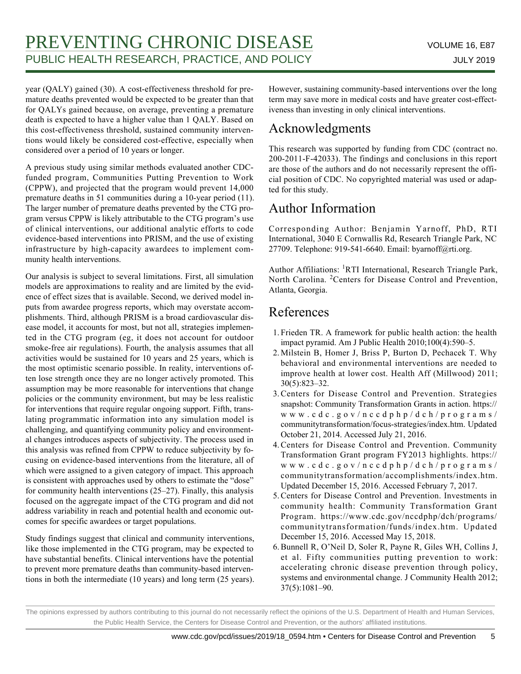year (QALY) gained (30). A cost-effectiveness threshold for premature deaths prevented would be expected to be greater than that for QALYs gained because, on average, preventing a premature death is expected to have a higher value than 1 QALY. Based on this cost-effectiveness threshold, sustained community interventions would likely be considered cost-effective, especially when considered over a period of 10 years or longer.

A previous study using similar methods evaluated another CDCfunded program, Communities Putting Prevention to Work (CPPW), and projected that the program would prevent 14,000 premature deaths in 51 communities during a 10-year period (11). The larger number of premature deaths prevented by the CTG program versus CPPW is likely attributable to the CTG program's use of clinical interventions, our additional analytic efforts to code evidence-based interventions into PRISM, and the use of existing infrastructure by high-capacity awardees to implement community health interventions.

Our analysis is subject to several limitations. First, all simulation models are approximations to reality and are limited by the evidence of effect sizes that is available. Second, we derived model inputs from awardee progress reports, which may overstate accomplishments. Third, although PRISM is a broad cardiovascular disease model, it accounts for most, but not all, strategies implemented in the CTG program (eg, it does not account for outdoor smoke-free air regulations). Fourth, the analysis assumes that all activities would be sustained for 10 years and 25 years, which is the most optimistic scenario possible. In reality, interventions often lose strength once they are no longer actively promoted. This assumption may be more reasonable for interventions that change policies or the community environment, but may be less realistic for interventions that require regular ongoing support. Fifth, translating programmatic information into any simulation model is challenging, and quantifying community policy and environmental changes introduces aspects of subjectivity. The process used in this analysis was refined from CPPW to reduce subjectivity by focusing on evidence-based interventions from the literature, all of which were assigned to a given category of impact. This approach is consistent with approaches used by others to estimate the "dose" for community health interventions (25–27). Finally, this analysis focused on the aggregate impact of the CTG program and did not address variability in reach and potential health and economic outcomes for specific awardees or target populations.

Study findings suggest that clinical and community interventions, like those implemented in the CTG program, may be expected to have substantial benefits. Clinical interventions have the potential to prevent more premature deaths than community-based interventions in both the intermediate (10 years) and long term (25 years). However, sustaining community-based interventions over the long term may save more in medical costs and have greater cost-effectiveness than investing in only clinical interventions.

# Acknowledgments

This research was supported by funding from CDC (contract no. 200-2011-F-42033). The findings and conclusions in this report are those of the authors and do not necessarily represent the official position of CDC. No copyrighted material was used or adapted for this study.

# Author Information

Corresponding Author: Benjamin Yarnoff, PhD, RTI International, 3040 E Cornwallis Rd, Research Triangle Park, NC 27709. Telephone: 919-541-6640. Email: byarnoff@rti.org.

Author Affiliations: <sup>1</sup>RTI International, Research Triangle Park, North Carolina. <sup>2</sup>Centers for Disease Control and Prevention, Atlanta, Georgia.

# References

- 1. Frieden TR. A framework for public health action: the health impact pyramid. Am J Public Health 2010;100(4):590–5.
- 2. Milstein B, Homer J, Briss P, Burton D, Pechacek T. Why behavioral and environmental interventions are needed to improve health at lower cost. Health Aff (Millwood) 2011; 30(5):823–32.
- 3. Centers for Disease Control and Prevention. Strategies snapshot: Community Transformation Grants in action. https:// www.cdc.gov/nccdphp/dch/programs/ communitytransformation/focus-strategies/index.htm. Updated October 21, 2014. Accessed July 21, 2016.
- Centers for Disease Control and Prevention. Community 4. Transformation Grant program FY2013 highlights. https:// www.cdc.gov/nccdphp/dch/programs/ communitytransformation/accomplishments/index.htm. Updated December 15, 2016. Accessed February 7, 2017.
- 5. Centers for Disease Control and Prevention. Investments in community health: Community Transformation Grant Program. https://www.cdc.gov/nccdphp/dch/programs/ communitytransformation/funds/index.htm. Updated December 15, 2016. Accessed May 15, 2018.
- 6. Bunnell R, O'Neil D, Soler R, Payne R, Giles WH, Collins J, et al. Fifty communities putting prevention to work: accelerating chronic disease prevention through policy, systems and environmental change. J Community Health 2012; 37(5):1081–90.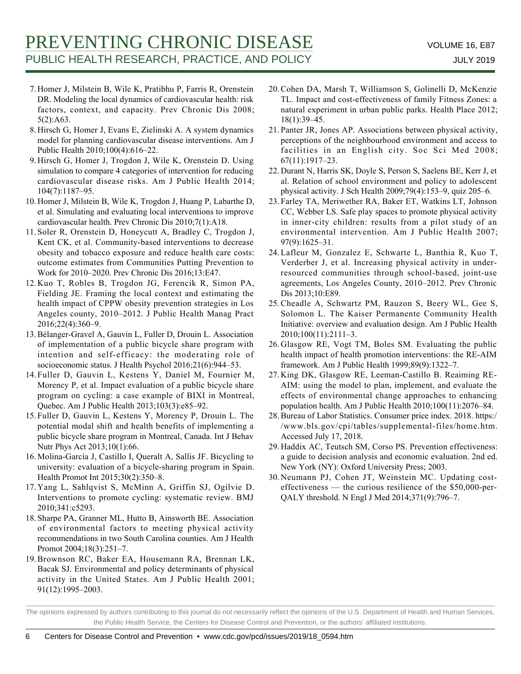- 7. Homer J, Milstein B, Wile K, Pratibhu P, Farris R, Orenstein DR. Modeling the local dynamics of cardiovascular health: risk factors, context, and capacity. Prev Chronic Dis 2008; 5(2):A63.
- 8. Hirsch G, Homer J, Evans E, Zielinski A. A system dynamics model for planning cardiovascular disease interventions. Am J Public Health 2010;100(4):616–22.
- 9. Hirsch G, Homer J, Trogdon J, Wile K, Orenstein D. Using simulation to compare 4 categories of intervention for reducing cardiovascular disease risks. Am J Public Health 2014; 104(7):1187–95.
- 10. Homer J, Milstein B, Wile K, Trogdon J, Huang P, Labarthe D, et al. Simulating and evaluating local interventions to improve cardiovascular health. Prev Chronic Dis 2010;7(1):A18.
- 11. Soler R, Orenstein D, Honeycutt A, Bradley C, Trogdon J, Kent CK, et al. Community-based interventions to decrease obesity and tobacco exposure and reduce health care costs: outcome estimates from Communities Putting Prevention to Work for 2010–2020. Prev Chronic Dis 2016;13:E47.
- 12. Kuo T, Robles B, Trogdon JG, Ferencik R, Simon PA, Fielding JE. Framing the local context and estimating the health impact of CPPW obesity prevention strategies in Los Angeles county, 2010–2012. J Public Health Manag Pract 2016;22(4):360–9.
- 13. Bélanger-Gravel A, Gauvin L, Fuller D, Drouin L. Association of implementation of a public bicycle share program with intention and self-efficacy: the moderating role of socioeconomic status. J Health Psychol 2016;21(6):944–53.
- 14. Fuller D, Gauvin L, Kestens Y, Daniel M, Fournier M, Morency P, et al. Impact evaluation of a public bicycle share program on cycling: a case example of BIXI in Montreal, Quebec. Am J Public Health 2013;103(3):e85–92.
- 15. Fuller D, Gauvin L, Kestens Y, Morency P, Drouin L. The potential modal shift and health benefits of implementing a public bicycle share program in Montreal, Canada. Int J Behav Nutr Phys Act 2013;10(1):66.
- 16. Molina-García J, Castillo I, Queralt A, Sallis JF. Bicycling to university: evaluation of a bicycle-sharing program in Spain. Health Promot Int 2015;30(2):350–8.
- Yang L, Sahlqvist S, McMinn A, Griffin SJ, Ogilvie D. 17. Interventions to promote cycling: systematic review. BMJ 2010;341:c5293.
- 18. Sharpe PA, Granner ML, Hutto B, Ainsworth BE. Association of environmental factors to meeting physical activity recommendations in two South Carolina counties. Am J Health Promot 2004;18(3):251–7.
- 19. Brownson RC, Baker EA, Housemann RA, Brennan LK, Bacak SJ. Environmental and policy determinants of physical activity in the United States. Am J Public Health 2001; 91(12):1995–2003.
- 20. Cohen DA, Marsh T, Williamson S, Golinelli D, McKenzie TL. Impact and cost-effectiveness of family Fitness Zones: a natural experiment in urban public parks. Health Place 2012; 18(1):39–45.
- 21. Panter JR, Jones AP. Associations between physical activity, perceptions of the neighbourhood environment and access to facilities in an English city. Soc Sci Med 2008; 67(11):1917–23.
- 22. Durant N, Harris SK, Doyle S, Person S, Saelens BE, Kerr J, et al. Relation of school environment and policy to adolescent physical activity. J Sch Health 2009;79(4):153–9, quiz 205–6.
- 23. Farley TA, Meriwether RA, Baker ET, Watkins LT, Johnson CC, Webber LS. Safe play spaces to promote physical activity in inner-city children: results from a pilot study of an environmental intervention. Am J Public Health 2007; 97(9):1625–31.
- Lafleur M, Gonzalez E, Schwarte L, Banthia R, Kuo T, 24. Verderber J, et al. Increasing physical activity in underresourced communities through school-based, joint-use agreements, Los Angeles County, 2010–2012. Prev Chronic Dis 2013;10:E89.
- 25. Cheadle A, Schwartz PM, Rauzon S, Beery WL, Gee S, Solomon L. The Kaiser Permanente Community Health Initiative: overview and evaluation design. Am J Public Health 2010;100(11):2111–3.
- 26. Glasgow RE, Vogt TM, Boles SM. Evaluating the public health impact of health promotion interventions: the RE-AIM framework. Am J Public Health 1999;89(9):1322–7.
- 27. King DK, Glasgow RE, Leeman-Castillo B. Reaiming RE-AIM: using the model to plan, implement, and evaluate the effects of environmental change approaches to enhancing population health. Am J Public Health 2010;100(11):2076–84.
- 28. Bureau of Labor Statistics. Consumer price index. 2018. https:/ /www.bls.gov/cpi/tables/supplemental-files/home.htm. Accessed July 17, 2018.
- 29. Haddix AC, Teutsch SM, Corso PS. Prevention effectiveness: a guide to decision analysis and economic evaluation. 2nd ed. New York (NY): Oxford University Press; 2003.
- 30. Neumann PJ, Cohen JT, Weinstein MC. Updating costeffectiveness — the curious resilience of the \$50,000-per-QALY threshold. N Engl J Med 2014;371(9):796–7.

The opinions expressed by authors contributing to this journal do not necessarily reflect the opinions of the U.S. Department of Health and Human Services, the Public Health Service, the Centers for Disease Control and Prevention, or the authors' affiliated institutions.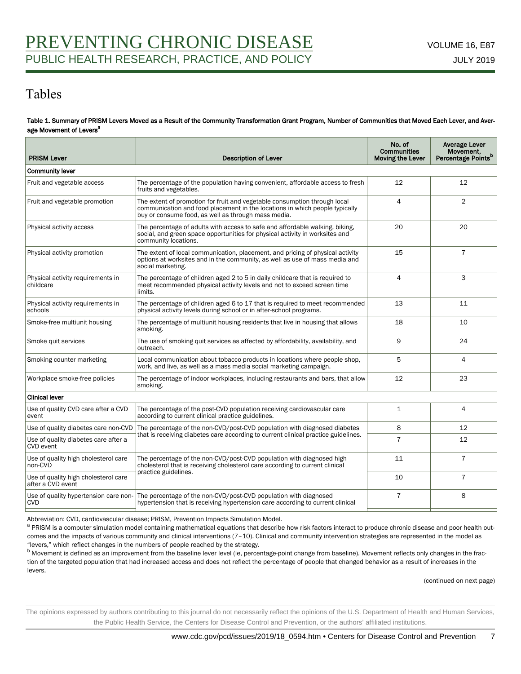## Tables

#### Table 1. Summary of PRISM Levers Moved as a Result of the Community Transformation Grant Program, Number of Communities that Moved Each Lever, and Average Movement of Levers<sup>a</sup>

| <b>PRISM Lever</b>                                        | <b>Description of Lever</b>                                                                                                                                                                                     | No. of<br><b>Communities</b><br><b>Moving the Lever</b> | Average Lever<br>Movement,<br>Percentage Points <sup>b</sup> |  |  |
|-----------------------------------------------------------|-----------------------------------------------------------------------------------------------------------------------------------------------------------------------------------------------------------------|---------------------------------------------------------|--------------------------------------------------------------|--|--|
| <b>Community lever</b>                                    |                                                                                                                                                                                                                 |                                                         |                                                              |  |  |
| Fruit and vegetable access                                | The percentage of the population having convenient, affordable access to fresh<br>fruits and vegetables.                                                                                                        | 12                                                      | 12                                                           |  |  |
| Fruit and vegetable promotion                             | The extent of promotion for fruit and vegetable consumption through local<br>communication and food placement in the locations in which people typically<br>buy or consume food, as well as through mass media. | 4                                                       | $\overline{2}$                                               |  |  |
| Physical activity access                                  | The percentage of adults with access to safe and affordable walking, biking,<br>social, and green space opportunities for physical activity in worksites and<br>community locations.                            | 20                                                      | 20                                                           |  |  |
| Physical activity promotion                               | The extent of local communication, placement, and pricing of physical activity<br>options at worksites and in the community, as well as use of mass media and<br>social marketing.                              | 15                                                      | $\overline{7}$                                               |  |  |
| Physical activity requirements in<br>childcare            | The percentage of children aged 2 to 5 in daily childcare that is required to<br>meet recommended physical activity levels and not to exceed screen time<br>limits.                                             | $\overline{4}$                                          | 3                                                            |  |  |
| Physical activity requirements in<br>schools              | The percentage of children aged 6 to 17 that is required to meet recommended<br>physical activity levels during school or in after-school programs.                                                             | 13                                                      | 11                                                           |  |  |
| Smoke-free multiunit housing                              | The percentage of multiunit housing residents that live in housing that allows<br>smoking.                                                                                                                      | 18                                                      | 10                                                           |  |  |
| Smoke quit services                                       | The use of smoking quit services as affected by affordability, availability, and<br>outreach.                                                                                                                   | 9                                                       | 24                                                           |  |  |
| Smoking counter marketing                                 | Local communication about tobacco products in locations where people shop,<br>work, and live, as well as a mass media social marketing campaign.                                                                | 5                                                       | $\overline{4}$                                               |  |  |
| Workplace smoke-free policies                             | The percentage of indoor workplaces, including restaurants and bars, that allow<br>smoking.                                                                                                                     | 12                                                      | 23                                                           |  |  |
| <b>Clinical lever</b>                                     |                                                                                                                                                                                                                 |                                                         |                                                              |  |  |
| Use of quality CVD care after a CVD<br>event              | The percentage of the post-CVD population receiving cardiovascular care<br>according to current clinical practice guidelines.                                                                                   | 1                                                       | 4                                                            |  |  |
| Use of quality diabetes care non-CVD                      | The percentage of the non-CVD/post-CVD population with diagnosed diabetes                                                                                                                                       | 8                                                       | 12                                                           |  |  |
| Use of quality diabetes care after a<br><b>CVD</b> event  | that is receiving diabetes care according to current clinical practice guidelines.                                                                                                                              | $\overline{7}$                                          | 12                                                           |  |  |
| Use of quality high cholesterol care<br>non-CVD           | The percentage of the non-CVD/post-CVD population with diagnosed high<br>cholesterol that is receiving cholesterol care according to current clinical                                                           | 11                                                      | $\overline{7}$                                               |  |  |
| Use of quality high cholesterol care<br>after a CVD event | practice guidelines.                                                                                                                                                                                            | 10                                                      | $\overline{7}$                                               |  |  |
| Use of quality hypertension care non-<br><b>CVD</b>       | The percentage of the non-CVD/post-CVD population with diagnosed<br>hypertension that is receiving hypertension care according to current clinical                                                              | $\overline{7}$                                          | 8                                                            |  |  |
|                                                           |                                                                                                                                                                                                                 |                                                         |                                                              |  |  |

Abbreviation: CVD, cardiovascular disease; PRISM, Prevention Impacts Simulation Model.

<sup>a</sup> PRISM is a computer simulation model containing mathematical equations that describe how risk factors interact to produce chronic disease and poor health outcomes and the impacts of various community and clinical interventions (7-10). Clinical and community intervention strategies are represented in the model as "levers," which reflect changes in the numbers of people reached by the strategy.

<sup>b</sup> Movement is defined as an improvement from the baseline lever level (ie, percentage-point change from baseline). Movement reflects only changes in the fraction of the targeted population that had increased access and does not reflect the percentage of people that changed behavior as a result of increases in the levers.

(continued on next page)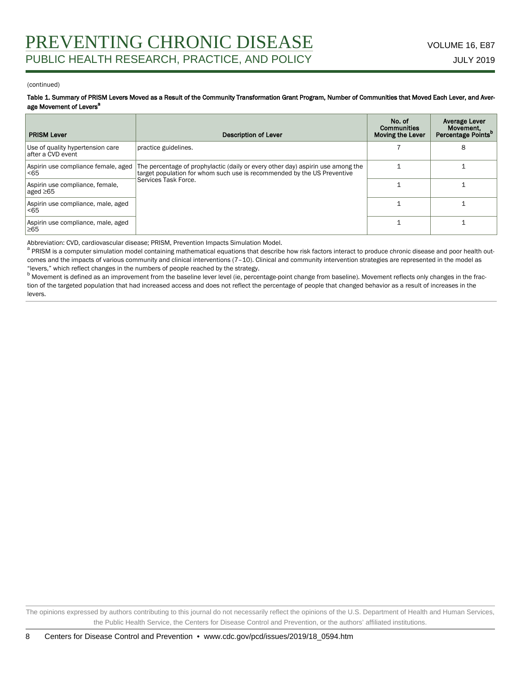#### (continued)

Table 1. Summary of PRISM Levers Moved as a Result of the Community Transformation Grant Program, Number of Communities that Moved Each Lever, and Average Movement of Levers<sup>a</sup>

| <b>PRISM Lever</b>                                    | <b>Description of Lever</b>                                                                                                                                                        | No. of<br>Communities<br><b>Moving the Lever</b> | <b>Average Lever</b><br>Movement,<br>Percentage Points <sup>p</sup> |
|-------------------------------------------------------|------------------------------------------------------------------------------------------------------------------------------------------------------------------------------------|--------------------------------------------------|---------------------------------------------------------------------|
| Use of quality hypertension care<br>after a CVD event | practice guidelines.                                                                                                                                                               |                                                  | 8                                                                   |
| Aspirin use compliance female, aged<br>< 65           | The percentage of prophylactic (daily or every other day) aspirin use among the<br>target population for whom such use is recommended by the US Preventive<br>Services Task Force. |                                                  |                                                                     |
| Aspirin use compliance, female,<br>aged ≥65           |                                                                                                                                                                                    |                                                  |                                                                     |
| Aspirin use compliance, male, aged<br>< 65            |                                                                                                                                                                                    |                                                  |                                                                     |
| Aspirin use compliance, male, aged<br>≥65             |                                                                                                                                                                                    |                                                  |                                                                     |

Abbreviation: CVD, cardiovascular disease; PRISM, Prevention Impacts Simulation Model.

<sup>a</sup> PRISM is a computer simulation model containing mathematical equations that describe how risk factors interact to produce chronic disease and poor health outcomes and the impacts of various community and clinical interventions (7-10). Clinical and community intervention strategies are represented in the model as "levers," which reflect changes in the numbers of people reached by the strategy.

<sup>b</sup> Movement is defined as an improvement from the baseline lever level (ie, percentage-point change from baseline). Movement reflects only changes in the fraction of the targeted population that had increased access and does not reflect the percentage of people that changed behavior as a result of increases in the levers.